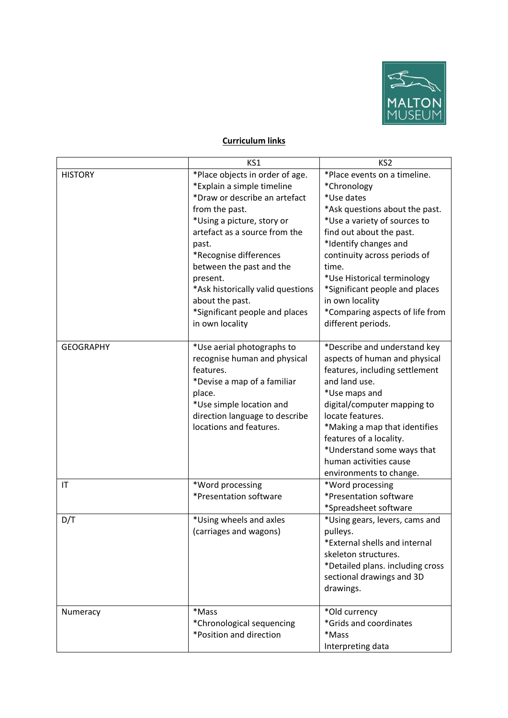

## **Curriculum links**

|                        | KS1                                                                                                                                                                                                                                                                                                                                                                     | KS <sub>2</sub>                                                                                                                                                                                                                                                                                                                                                        |
|------------------------|-------------------------------------------------------------------------------------------------------------------------------------------------------------------------------------------------------------------------------------------------------------------------------------------------------------------------------------------------------------------------|------------------------------------------------------------------------------------------------------------------------------------------------------------------------------------------------------------------------------------------------------------------------------------------------------------------------------------------------------------------------|
| <b>HISTORY</b>         | *Place objects in order of age.<br>*Explain a simple timeline<br>*Draw or describe an artefact<br>from the past.<br>*Using a picture, story or<br>artefact as a source from the<br>past.<br>*Recognise differences<br>between the past and the<br>present.<br>*Ask historically valid questions<br>about the past.<br>*Significant people and places<br>in own locality | *Place events on a timeline.<br>*Chronology<br>*Use dates<br>*Ask questions about the past.<br>*Use a variety of sources to<br>find out about the past.<br>*Identify changes and<br>continuity across periods of<br>time.<br>*Use Historical terminology<br>*Significant people and places<br>in own locality<br>*Comparing aspects of life from<br>different periods. |
| <b>GEOGRAPHY</b>       | *Use aerial photographs to<br>recognise human and physical<br>features.<br>*Devise a map of a familiar<br>place.<br>*Use simple location and<br>direction language to describe<br>locations and features.                                                                                                                                                               | *Describe and understand key<br>aspects of human and physical<br>features, including settlement<br>and land use.<br>*Use maps and<br>digital/computer mapping to<br>locate features.<br>*Making a map that identifies<br>features of a locality.<br>*Understand some ways that<br>human activities cause<br>environments to change.                                    |
| $\mathsf{I}\mathsf{T}$ | *Word processing<br>*Presentation software                                                                                                                                                                                                                                                                                                                              | *Word processing<br>*Presentation software<br>*Spreadsheet software                                                                                                                                                                                                                                                                                                    |
| D/T                    | *Using wheels and axles<br>(carriages and wagons)                                                                                                                                                                                                                                                                                                                       | *Using gears, levers, cams and<br>pulleys.<br>*External shells and internal<br>skeleton structures.<br>*Detailed plans. including cross<br>sectional drawings and 3D<br>drawings.                                                                                                                                                                                      |
| Numeracy               | *Mass<br>*Chronological sequencing<br>*Position and direction                                                                                                                                                                                                                                                                                                           | *Old currency<br>*Grids and coordinates<br>*Mass<br>Interpreting data                                                                                                                                                                                                                                                                                                  |